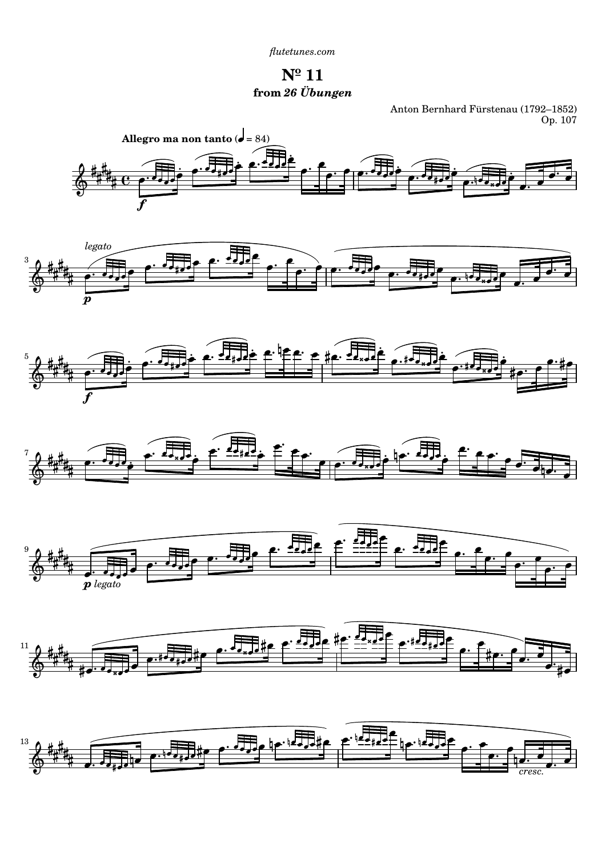*[flutetunes.com](http://www.flutetunes.com)*

**Nº 11 from** *26 Übungen*

Anton Bernhard Fürstenau (1792–1852) Op. 107